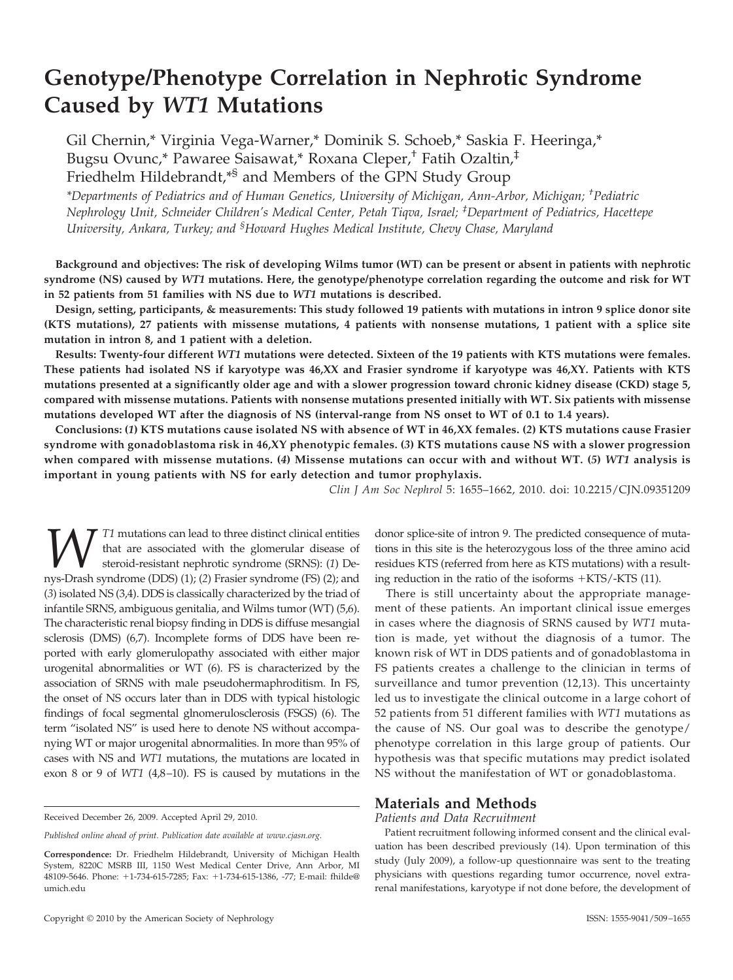# **Genotype/Phenotype Correlation in Nephrotic Syndrome Caused by** *WT1* **Mutations**

Gil Chernin,\* Virginia Vega-Warner,\* Dominik S. Schoeb,\* Saskia F. Heeringa,\* Bugsu Ovunc,\* Pawaree Saisawat,\* Roxana Cleper,† Fatih Ozaltin,‡ Friedhelm Hildebrandt,\*§ and Members of the GPN Study Group

*\*Departments of Pediatrics and of Human Genetics, University of Michigan, Ann-Arbor, Michigan; † Pediatric Nephrology Unit, Schneider Children's Medical Center, Petah Tiqva, Israel; ‡ Department of Pediatrics, Hacettepe University, Ankara, Turkey; and § Howard Hughes Medical Institute, Chevy Chase, Maryland*

**Background and objectives: The risk of developing Wilms tumor (WT) can be present or absent in patients with nephrotic syndrome (NS) caused by** *WT1* **mutations. Here, the genotype/phenotype correlation regarding the outcome and risk for WT in 52 patients from 51 families with NS due to** *WT1* **mutations is described.**

**Design, setting, participants, & measurements: This study followed 19 patients with mutations in intron 9 splice donor site (KTS mutations), 27 patients with missense mutations, 4 patients with nonsense mutations, 1 patient with a splice site mutation in intron 8, and 1 patient with a deletion.**

**Results: Twenty-four different** *WT1* **mutations were detected. Sixteen of the 19 patients with KTS mutations were females. These patients had isolated NS if karyotype was 46,XX and Frasier syndrome if karyotype was 46,XY. Patients with KTS mutations presented at a significantly older age and with a slower progression toward chronic kidney disease (CKD) stage 5, compared with missense mutations. Patients with nonsense mutations presented initially with WT. Six patients with missense mutations developed WT after the diagnosis of NS (interval-range from NS onset to WT of 0.1 to 1.4 years).**

**Conclusions: (***1***) KTS mutations cause isolated NS with absence of WT in 46,XX females. (***2***) KTS mutations cause Frasier syndrome with gonadoblastoma risk in 46,XY phenotypic females. (***3***) KTS mutations cause NS with a slower progression when compared with missense mutations. (***4***) Missense mutations can occur with and without WT. (***5***)** *WT1* **analysis is important in young patients with NS for early detection and tumor prophylaxis.**

*Clin J Am Soc Nephrol* 5: 1655–1662, 2010. doi: 10.2215/CJN.09351209

T1 mutations can lead to three distinct clinical entities that are associated with the glomerular disease of steroid-resistant nephrotic syndrome (SRNS): (*1*) Denys-Drash syndrome (DDS) (1); (*2*) Frasier syndrome (FS) (2); and (*3*) isolated NS (3,4). DDS is classically characterized by the triad of infantile SRNS, ambiguous genitalia, and Wilms tumor (WT) (5,6). The characteristic renal biopsy finding in DDS is diffuse mesangial sclerosis (DMS) (6,7). Incomplete forms of DDS have been reported with early glomerulopathy associated with either major urogenital abnormalities or WT (6). FS is characterized by the association of SRNS with male pseudohermaphroditism. In FS, the onset of NS occurs later than in DDS with typical histologic findings of focal segmental glnomerulosclerosis (FSGS) (6). The term "isolated NS" is used here to denote NS without accompanying WT or major urogenital abnormalities. In more than 95% of cases with NS and *WT1* mutations, the mutations are located in exon 8 or 9 of *WT1* (4,8–10). FS is caused by mutations in the

donor splice-site of intron 9. The predicted consequence of mutations in this site is the heterozygous loss of the three amino acid residues KTS (referred from here as KTS mutations) with a resulting reduction in the ratio of the isoforms  $+KTS/-KTS$  (11).

There is still uncertainty about the appropriate management of these patients. An important clinical issue emerges in cases where the diagnosis of SRNS caused by *WT1* mutation is made, yet without the diagnosis of a tumor. The known risk of WT in DDS patients and of gonadoblastoma in FS patients creates a challenge to the clinician in terms of surveillance and tumor prevention (12,13). This uncertainty led us to investigate the clinical outcome in a large cohort of 52 patients from 51 different families with *WT1* mutations as the cause of NS. Our goal was to describe the genotype/ phenotype correlation in this large group of patients. Our hypothesis was that specific mutations may predict isolated NS without the manifestation of WT or gonadoblastoma.

# **Materials and Methods**

#### *Patients and Data Recruitment*

Patient recruitment following informed consent and the clinical evaluation has been described previously (14). Upon termination of this study (July 2009), a follow-up questionnaire was sent to the treating physicians with questions regarding tumor occurrence, novel extrarenal manifestations, karyotype if not done before, the development of

Received December 26, 2009. Accepted April 29, 2010.

*Published online ahead of print. Publication date available at www.cjasn.org.*

**Correspondence:** Dr. Friedhelm Hildebrandt, University of Michigan Health System, 8220C MSRB III, 1150 West Medical Center Drive, Ann Arbor, MI 48109-5646. Phone: +1-734-615-7285; Fax: +1-734-615-1386, -77; E-mail: fhilde@ umich.edu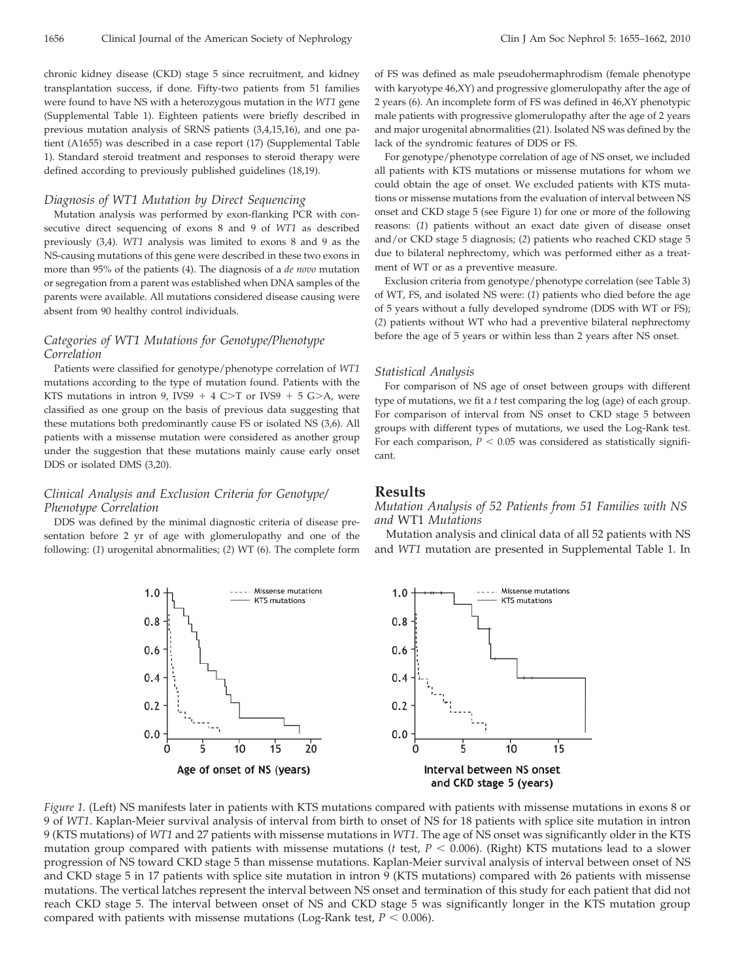chronic kidney disease (CKD) stage 5 since recruitment, and kidney transplantation success, if done. Fifty-two patients from 51 families were found to have NS with a heterozygous mutation in the *WT1* gene (Supplemental Table 1). Eighteen patients were briefly described in previous mutation analysis of SRNS patients (3,4,15,16), and one patient (A1655) was described in a case report (17) (Supplemental Table 1). Standard steroid treatment and responses to steroid therapy were defined according to previously published guidelines (18,19).

#### *Diagnosis of WT1 Mutation by Direct Sequencing*

Mutation analysis was performed by exon-flanking PCR with consecutive direct sequencing of exons 8 and 9 of *WT1* as described previously (3,4). *WT1* analysis was limited to exons 8 and 9 as the NS-causing mutations of this gene were described in these two exons in more than 95% of the patients (4). The diagnosis of a *de novo* mutation or segregation from a parent was established when DNA samples of the parents were available. All mutations considered disease causing were absent from 90 healthy control individuals.

#### *Categories of WT1 Mutations for Genotype/Phenotype Correlation*

Patients were classified for genotype/phenotype correlation of *WT1* mutations according to the type of mutation found. Patients with the KTS mutations in intron 9, IVS9  $+$  4 C>T or IVS9  $+$  5 G>A, were classified as one group on the basis of previous data suggesting that these mutations both predominantly cause FS or isolated NS (3,6). All patients with a missense mutation were considered as another group under the suggestion that these mutations mainly cause early onset DDS or isolated DMS (3,20).

# *Clinical Analysis and Exclusion Criteria for Genotype/ Phenotype Correlation*

 $1.0$ 

 $0.8$ 

 $0.6$ 

 $0.4$ 

 $0.2$ 

 $0.0$ 

DDS was defined by the minimal diagnostic criteria of disease presentation before 2 yr of age with glomerulopathy and one of the following: (*1*) urogenital abnormalities; (*2*) WT (6). The complete form

of FS was defined as male pseudohermaphrodism (female phenotype with karyotype 46,XY) and progressive glomerulopathy after the age of 2 years (6). An incomplete form of FS was defined in 46,XY phenotypic male patients with progressive glomerulopathy after the age of 2 years and major urogenital abnormalities (21). Isolated NS was defined by the lack of the syndromic features of DDS or FS.

For genotype/phenotype correlation of age of NS onset, we included all patients with KTS mutations or missense mutations for whom we could obtain the age of onset. We excluded patients with KTS mutations or missense mutations from the evaluation of interval between NS onset and CKD stage 5 (see Figure 1) for one or more of the following reasons: (*1*) patients without an exact date given of disease onset and/or CKD stage 5 diagnosis; (*2*) patients who reached CKD stage 5 due to bilateral nephrectomy, which was performed either as a treatment of WT or as a preventive measure.

Exclusion criteria from genotype/phenotype correlation (see Table 3) of WT, FS, and isolated NS were: (*1*) patients who died before the age of 5 years without a fully developed syndrome (DDS with WT or FS); (*2*) patients without WT who had a preventive bilateral nephrectomy before the age of 5 years or within less than 2 years after NS onset.

#### *Statistical Analysis*

For comparison of NS age of onset between groups with different type of mutations, we fit a *t* test comparing the log (age) of each group. For comparison of interval from NS onset to CKD stage 5 between groups with different types of mutations, we used the Log-Rank test. For each comparison,  $P < 0.05$  was considered as statistically significant.

#### **Results**

*Mutation Analysis of 52 Patients from 51 Families with NS and* WT1 *Mutations*

Mutation analysis and clinical data of all 52 patients with NS and *WT1* mutation are presented in Supplemental Table 1. In



*Figure 1.* (Left) NS manifests later in patients with KTS mutations compared with patients with missense mutations in exons 8 or 9 of *WT1*. Kaplan-Meier survival analysis of interval from birth to onset of NS for 18 patients with splice site mutation in intron 9 (KTS mutations) of *WT1* and 27 patients with missense mutations in *WT1*. The age of NS onset was significantly older in the KTS mutation group compared with patients with missense mutations ( $t$  test,  $P < 0.006$ ). (Right) KTS mutations lead to a slower progression of NS toward CKD stage 5 than missense mutations. Kaplan-Meier survival analysis of interval between onset of NS and CKD stage 5 in 17 patients with splice site mutation in intron 9 (KTS mutations) compared with 26 patients with missense mutations. The vertical latches represent the interval between NS onset and termination of this study for each patient that did not reach CKD stage 5. The interval between onset of NS and CKD stage 5 was significantly longer in the KTS mutation group compared with patients with missense mutations (Log-Rank test,  $P < 0.006$ ).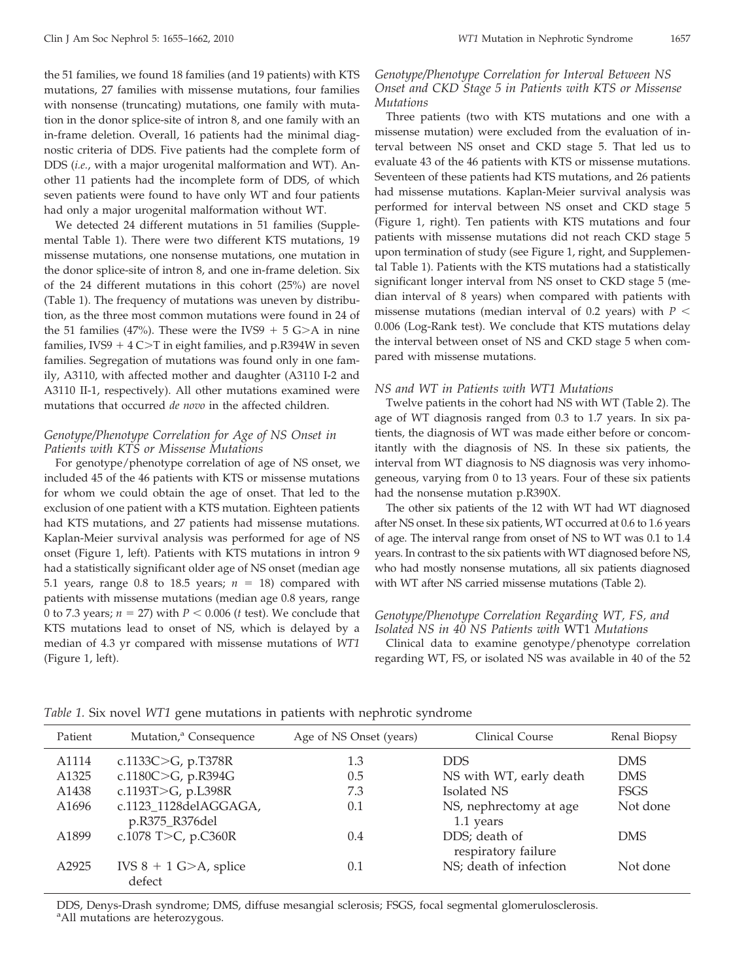the 51 families, we found 18 families (and 19 patients) with KTS mutations, 27 families with missense mutations, four families with nonsense (truncating) mutations, one family with mutation in the donor splice-site of intron 8, and one family with an in-frame deletion. Overall, 16 patients had the minimal diagnostic criteria of DDS. Five patients had the complete form of DDS (*i.e.*, with a major urogenital malformation and WT). Another 11 patients had the incomplete form of DDS, of which seven patients were found to have only WT and four patients had only a major urogenital malformation without WT.

We detected 24 different mutations in 51 families (Supplemental Table 1). There were two different KTS mutations, 19 missense mutations, one nonsense mutations, one mutation in the donor splice-site of intron 8, and one in-frame deletion. Six of the 24 different mutations in this cohort (25%) are novel (Table 1). The frequency of mutations was uneven by distribution, as the three most common mutations were found in 24 of the 51 families (47%). These were the IVS9  $+$  5 G $\geq$ A in nine families, IVS9  $+$  4 C $>$ T in eight families, and p.R394W in seven families. Segregation of mutations was found only in one family, A3110, with affected mother and daughter (A3110 I-2 and A3110 II-1, respectively). All other mutations examined were mutations that occurred *de novo* in the affected children.

# *Genotype/Phenotype Correlation for Age of NS Onset in Patients with KTS or Missense Mutations*

For genotype/phenotype correlation of age of NS onset, we included 45 of the 46 patients with KTS or missense mutations for whom we could obtain the age of onset. That led to the exclusion of one patient with a KTS mutation. Eighteen patients had KTS mutations, and 27 patients had missense mutations. Kaplan-Meier survival analysis was performed for age of NS onset (Figure 1, left). Patients with KTS mutations in intron 9 had a statistically significant older age of NS onset (median age 5.1 years, range 0.8 to 18.5 years;  $n = 18$ ) compared with patients with missense mutations (median age 0.8 years, range 0 to 7.3 years;  $n = 27$ ) with  $P < 0.006$  (*t* test). We conclude that KTS mutations lead to onset of NS, which is delayed by a median of 4.3 yr compared with missense mutations of *WT1* (Figure 1, left).

# *Genotype/Phenotype Correlation for Interval Between NS Onset and CKD Stage 5 in Patients with KTS or Missense Mutations*

Three patients (two with KTS mutations and one with a missense mutation) were excluded from the evaluation of interval between NS onset and CKD stage 5. That led us to evaluate 43 of the 46 patients with KTS or missense mutations. Seventeen of these patients had KTS mutations, and 26 patients had missense mutations. Kaplan-Meier survival analysis was performed for interval between NS onset and CKD stage 5 (Figure 1, right). Ten patients with KTS mutations and four patients with missense mutations did not reach CKD stage 5 upon termination of study (see Figure 1, right, and Supplemental Table 1). Patients with the KTS mutations had a statistically significant longer interval from NS onset to CKD stage 5 (median interval of 8 years) when compared with patients with missense mutations (median interval of 0.2 years) with  $P <$ 0.006 (Log-Rank test). We conclude that KTS mutations delay the interval between onset of NS and CKD stage 5 when compared with missense mutations.

#### *NS and WT in Patients with WT1 Mutations*

Twelve patients in the cohort had NS with WT (Table 2). The age of WT diagnosis ranged from 0.3 to 1.7 years. In six patients, the diagnosis of WT was made either before or concomitantly with the diagnosis of NS. In these six patients, the interval from WT diagnosis to NS diagnosis was very inhomogeneous, varying from 0 to 13 years. Four of these six patients had the nonsense mutation p.R390X.

The other six patients of the 12 with WT had WT diagnosed after NS onset. In these six patients, WT occurred at 0.6 to 1.6 years of age. The interval range from onset of NS to WT was 0.1 to 1.4 years. In contrast to the six patients with WT diagnosed before NS, who had mostly nonsense mutations, all six patients diagnosed with WT after NS carried missense mutations (Table 2).

# *Genotype/Phenotype Correlation Regarding WT, FS, and Isolated NS in 40 NS Patients with* WT1 *Mutations*

Clinical data to examine genotype/phenotype correlation regarding WT, FS, or isolated NS was available in 40 of the 52

| Patient           | Mutation, <sup>a</sup> Consequence      | Age of NS Onset (years) | Clinical Course                      | Renal Biopsy |
|-------------------|-----------------------------------------|-------------------------|--------------------------------------|--------------|
| A1114             | c.1133C $>$ G, p.T378R                  | 1.3                     | <b>DDS</b>                           | DMS.         |
| A <sub>1325</sub> | c.1180C $>G$ , p.R394G                  | 0.5                     | NS with WT, early death              | <b>DMS</b>   |
| A1438             | c.1193T>G, p.L398R                      | 7.3                     | Isolated NS                          | <b>FSGS</b>  |
| A1696             | c.1123 1128delAGGAGA,<br>p.R375_R376del | 0.1                     | NS, nephrectomy at age<br>1.1 years  | Not done     |
| A1899             | c.1078 T>C, p.C360R                     | 0.4                     | DDS; death of<br>respiratory failure | <b>DMS</b>   |
| A2925             | IVS $8 + 1$ G $> A$ , splice<br>defect  | 0.1                     | NS; death of infection               | Not done     |

*Table 1.* Six novel *WT1* gene mutations in patients with nephrotic syndrome

DDS, Denys-Drash syndrome; DMS, diffuse mesangial sclerosis; FSGS, focal segmental glomerulosclerosis. <sup>a</sup> All mutations are heterozygous.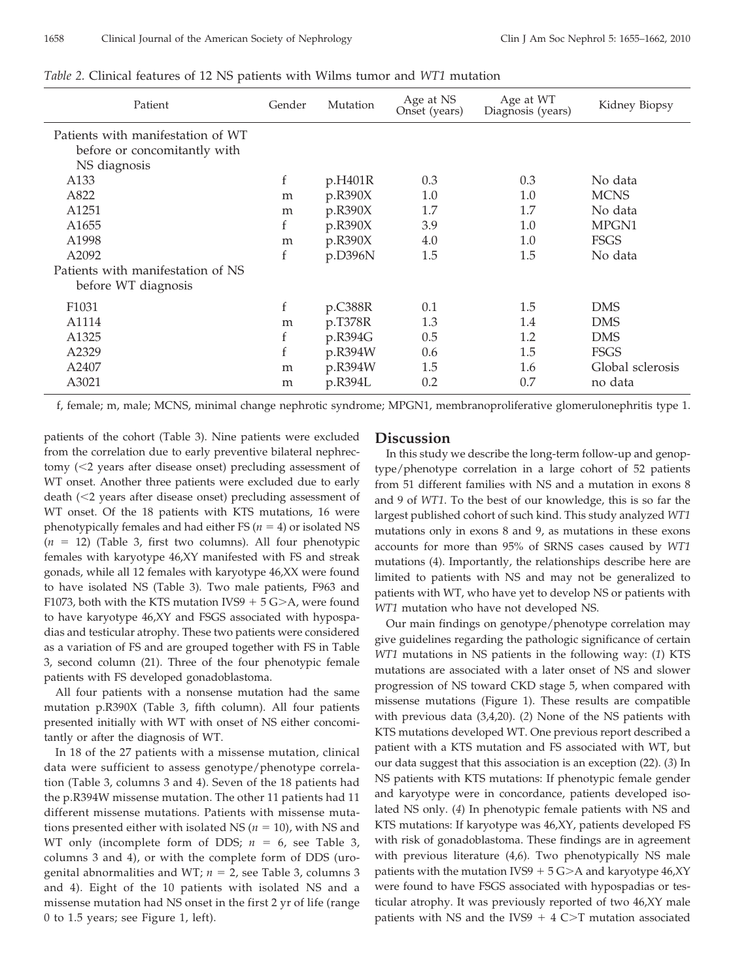| Patient                           | Gender | Mutation | Age at NS<br>Onset (years) | Age at WT<br>Diagnosis (years) | Kidney Biopsy    |
|-----------------------------------|--------|----------|----------------------------|--------------------------------|------------------|
| Patients with manifestation of WT |        |          |                            |                                |                  |
| before or concomitantly with      |        |          |                            |                                |                  |
| NS diagnosis                      |        |          |                            |                                |                  |
| A <sub>133</sub>                  | f      | p.H401R  | 0.3                        | 0.3                            | No data          |
| A822                              | m      | p.R390X  | 1.0                        | 1.0                            | <b>MCNS</b>      |
| A <sub>1251</sub>                 | m      | p.R390X  | 1.7                        | 1.7                            | No data          |
| A <sub>1655</sub>                 | f      | p.R390X  | 3.9                        | 1.0                            | MPGN1            |
| A1998                             | m      | p.R390X  | 4.0                        | 1.0                            | <b>FSGS</b>      |
| A2092                             | f      | p.D396N  | 1.5                        | 1.5                            | No data          |
| Patients with manifestation of NS |        |          |                            |                                |                  |
| before WT diagnosis               |        |          |                            |                                |                  |
| F <sub>1031</sub>                 | f      | p.C388R  | 0.1                        | 1.5                            | <b>DMS</b>       |
| A1114                             | m      | p.T378R  | 1.3                        | 1.4                            | <b>DMS</b>       |
| A1325                             | f      | p.R394G  | 0.5                        | 1.2                            | <b>DMS</b>       |
| A2329                             | f      | p.R394W  | 0.6                        | 1.5                            | FSGS             |
| A2407                             | m      | p.R394W  | 1.5                        | 1.6                            | Global sclerosis |
| A3021                             | m      | p.R394L  | 0.2                        | 0.7                            | no data          |

*Table 2.* Clinical features of 12 NS patients with Wilms tumor and *WT1* mutation

f, female; m, male; MCNS, minimal change nephrotic syndrome; MPGN1, membranoproliferative glomerulonephritis type 1.

patients of the cohort (Table 3). Nine patients were excluded from the correlation due to early preventive bilateral nephrectomy (2 years after disease onset) precluding assessment of WT onset. Another three patients were excluded due to early death (<2 years after disease onset) precluding assessment of WT onset. Of the 18 patients with KTS mutations, 16 were phenotypically females and had either FS ( $n = 4$ ) or isolated NS  $(n = 12)$  (Table 3, first two columns). All four phenotypic females with karyotype 46,XY manifested with FS and streak gonads, while all 12 females with karyotype 46,XX were found to have isolated NS (Table 3). Two male patients, F963 and F1073, both with the KTS mutation IVS9  $+$  5 G $\geq$ A, were found to have karyotype 46,XY and FSGS associated with hypospadias and testicular atrophy. These two patients were considered as a variation of FS and are grouped together with FS in Table 3, second column (21). Three of the four phenotypic female patients with FS developed gonadoblastoma.

All four patients with a nonsense mutation had the same mutation p.R390X (Table 3, fifth column). All four patients presented initially with WT with onset of NS either concomitantly or after the diagnosis of WT.

In 18 of the 27 patients with a missense mutation, clinical data were sufficient to assess genotype/phenotype correlation (Table 3, columns 3 and 4). Seven of the 18 patients had the p.R394W missense mutation. The other 11 patients had 11 different missense mutations. Patients with missense mutations presented either with isolated NS ( $n = 10$ ), with NS and WT only (incomplete form of DDS;  $n = 6$ , see Table 3, columns 3 and 4), or with the complete form of DDS (urogenital abnormalities and WT;  $n = 2$ , see Table 3, columns 3 and 4). Eight of the 10 patients with isolated NS and a missense mutation had NS onset in the first 2 yr of life (range 0 to 1.5 years; see Figure 1, left).

#### **Discussion**

In this study we describe the long-term follow-up and genoptype/phenotype correlation in a large cohort of 52 patients from 51 different families with NS and a mutation in exons 8 and 9 of *WT1*. To the best of our knowledge, this is so far the largest published cohort of such kind. This study analyzed *WT1* mutations only in exons 8 and 9, as mutations in these exons accounts for more than 95% of SRNS cases caused by *WT1* mutations (4). Importantly, the relationships describe here are limited to patients with NS and may not be generalized to patients with WT, who have yet to develop NS or patients with *WT1* mutation who have not developed NS.

Our main findings on genotype/phenotype correlation may give guidelines regarding the pathologic significance of certain *WT1* mutations in NS patients in the following way: (*1*) KTS mutations are associated with a later onset of NS and slower progression of NS toward CKD stage 5, when compared with missense mutations (Figure 1). These results are compatible with previous data (3,4,20). (*2*) None of the NS patients with KTS mutations developed WT. One previous report described a patient with a KTS mutation and FS associated with WT, but our data suggest that this association is an exception (22). (*3*) In NS patients with KTS mutations: If phenotypic female gender and karyotype were in concordance, patients developed isolated NS only. (*4*) In phenotypic female patients with NS and KTS mutations: If karyotype was 46,XY, patients developed FS with risk of gonadoblastoma. These findings are in agreement with previous literature (4,6). Two phenotypically NS male patients with the mutation IVS9 +  $5$  G>A and karyotype  $46,\!XY$ were found to have FSGS associated with hypospadias or testicular atrophy. It was previously reported of two 46,XY male patients with NS and the IVS9  $+$  4 C $>$ T mutation associated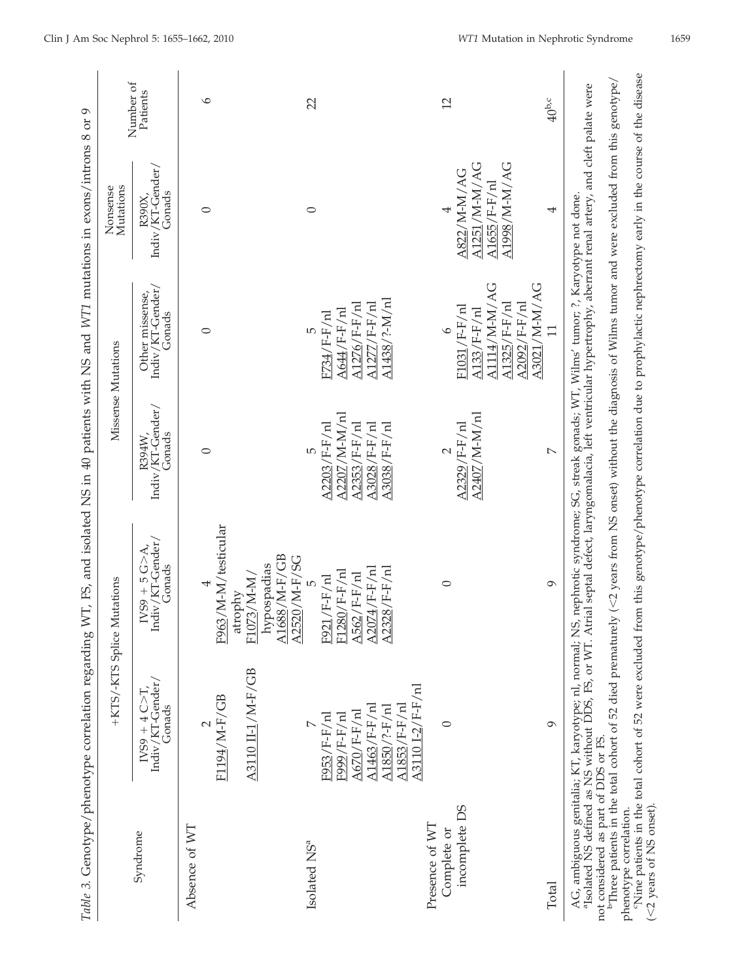|                                                      | Table 3. Genotype/phenotype correlation regarding                                                                                                               |                                                                                                                                                                                                                                   |                                                              | WT, FS, and isolated NS in 40 patients with NS and WT1 mutations in exons/introns 8 or 9 |                                                             |                       |
|------------------------------------------------------|-----------------------------------------------------------------------------------------------------------------------------------------------------------------|-----------------------------------------------------------------------------------------------------------------------------------------------------------------------------------------------------------------------------------|--------------------------------------------------------------|------------------------------------------------------------------------------------------|-------------------------------------------------------------|-----------------------|
|                                                      |                                                                                                                                                                 | +KTS/-KTS Splice Mutations                                                                                                                                                                                                        |                                                              | Missense Mutations                                                                       | Nonsense<br>Mutations                                       |                       |
| Syndrome                                             | $\begin{array}{l} \mathrm{I} \mathrm{V} \mathrm{S} \mathrm{9\, +\, 4\, C} \!>\! \mathrm{T}, \\ \mathrm{Indiv}/\mathrm{KT}\text{-Gender}/ \end{array}$<br>Gonads | Indiv/KT-Gender/<br>$\text{IVS9}\ +\ 5\ \text{G}\text{&\text{A},\text{}}$<br>Gonads                                                                                                                                               | Indiv/KT-Gender/<br>R394W,<br>Gonads                         | Indiv/KT-Gender/<br>Other missense,<br>Gonads                                            | Indiv/KT-Gender/<br>Gonads<br>R390X,                        | Number of<br>Patients |
| Absence of WT                                        |                                                                                                                                                                 |                                                                                                                                                                                                                                   |                                                              |                                                                                          |                                                             |                       |
|                                                      | F1194/M-F/GB                                                                                                                                                    | F963/M-M/testicular                                                                                                                                                                                                               | $\circ$                                                      | $\circ$                                                                                  | $\circ$                                                     | ৩                     |
|                                                      | A3110 II-1/M-F/GB                                                                                                                                               | A1688/M-F/GB<br>A2520/M-F/SG<br>hypospadias<br>F1073/M-M/<br>atrophy                                                                                                                                                              |                                                              |                                                                                          |                                                             |                       |
| Isolated NS <sup>a</sup>                             |                                                                                                                                                                 | 5                                                                                                                                                                                                                                 | $\mathfrak{g}$                                               | 5                                                                                        | $\circ$                                                     | 22                    |
|                                                      | A1463/F-F/nl<br>$\Delta 670$ /F-F/nl<br>F999/F-F/nl<br>F953/F-F/nl                                                                                              | $A2074/$ F-F/nl<br>F1280/F-F/nl<br>$\Delta$ 562/F-F/nl<br>F921/F-F/nl                                                                                                                                                             | A2207/M-M/nl<br>A2353/F-F/nl<br>A3028/F-F/nl<br>A2203/F-F/nl | A1277/F-F/nl<br>$A1276/F-F/nl$<br>A644/F-F/nl<br>F734/F-F/nl                             |                                                             |                       |
|                                                      | A3110 I-2/F-F/nl<br>$A1853/F-F/nl$<br>$A1850/?$ -F/nl                                                                                                           | $A2328/F-F/nl$                                                                                                                                                                                                                    | A3038/F-F/nl                                                 | A1438/?-M/nl                                                                             |                                                             |                       |
| Presence of WT                                       |                                                                                                                                                                 |                                                                                                                                                                                                                                   |                                                              |                                                                                          |                                                             |                       |
| incomplete DS<br>Complete or                         | $\circ$                                                                                                                                                         | $\circ$                                                                                                                                                                                                                           | A2407/M-M/nl<br>A2329/F-F/nl<br>$\sim$                       | A1114/M-M/AG<br>$A1325/F-F/nl$<br>F1031/F-F/nl<br>$A133/F-F/nl$<br>$\circ$               | A1251/M-M/AG<br>A1998/M-M/AG<br>A822/M-M/AG<br>A1655/F-F/nl | 12                    |
| Total                                                | $\sigma$                                                                                                                                                        | $\circ$                                                                                                                                                                                                                           | $\overline{a}$                                               | A3021/M-M/AG<br>$A2092/F-F/nl$<br>$\overline{1}$                                         | 4                                                           | $40^{b,c}$            |
|                                                      |                                                                                                                                                                 | AG, ambiguous genitalia; KT, karyotype; nl, normal; NS, nephrotic syndrome; SG, streak gonads; WT, Wilms' tumor; ?, Karyotype not done.<br>"Isolated NS defined as NS without DDS, FS, or WT. Atrial septal defect, laryngomalaci |                                                              |                                                                                          |                                                             |                       |
| not considered as part of DDS or FS.                 |                                                                                                                                                                 | "Three patients in the total cohort of 52 died prematurely (<2 years from NS onset) without the diagnosis of Wilms tumor and were excluded from this genotype/                                                                    |                                                              |                                                                                          |                                                             |                       |
| $(<$ 2 years of NS onset).<br>phenotype correlation. |                                                                                                                                                                 | "Nine patients in the total cohort of 52 were excluded from this genotype/phenotype correlation due to prophylactic nephrectomy early in the course of the disease                                                                |                                                              |                                                                                          |                                                             |                       |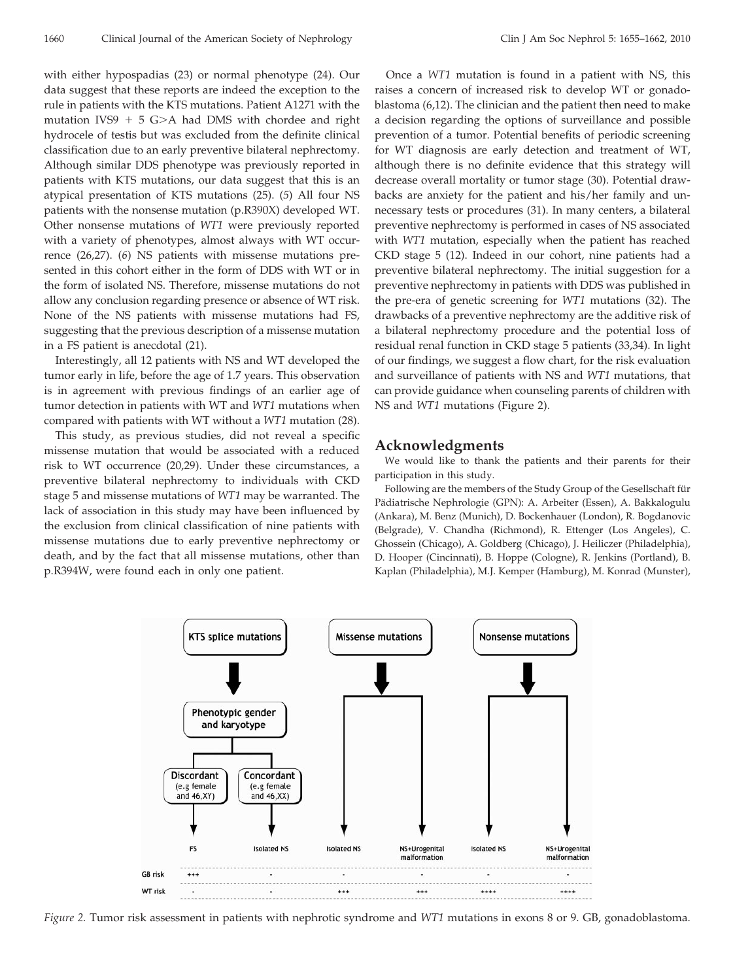with either hypospadias (23) or normal phenotype (24). Our data suggest that these reports are indeed the exception to the rule in patients with the KTS mutations. Patient A1271 with the mutation IVS9 + 5 G>A had DMS with chordee and right hydrocele of testis but was excluded from the definite clinical classification due to an early preventive bilateral nephrectomy. Although similar DDS phenotype was previously reported in patients with KTS mutations, our data suggest that this is an atypical presentation of KTS mutations (25). (*5*) All four NS patients with the nonsense mutation (p.R390X) developed WT. Other nonsense mutations of *WT1* were previously reported with a variety of phenotypes, almost always with WT occurrence (26,27). (*6*) NS patients with missense mutations presented in this cohort either in the form of DDS with WT or in the form of isolated NS. Therefore, missense mutations do not allow any conclusion regarding presence or absence of WT risk. None of the NS patients with missense mutations had FS, suggesting that the previous description of a missense mutation in a FS patient is anecdotal (21).

Interestingly, all 12 patients with NS and WT developed the tumor early in life, before the age of 1.7 years. This observation is in agreement with previous findings of an earlier age of tumor detection in patients with WT and *WT1* mutations when compared with patients with WT without a *WT1* mutation (28).

This study, as previous studies, did not reveal a specific missense mutation that would be associated with a reduced risk to WT occurrence (20,29). Under these circumstances, a preventive bilateral nephrectomy to individuals with CKD stage 5 and missense mutations of *WT1* may be warranted. The lack of association in this study may have been influenced by the exclusion from clinical classification of nine patients with missense mutations due to early preventive nephrectomy or death, and by the fact that all missense mutations, other than p.R394W, were found each in only one patient.

Once a *WT1* mutation is found in a patient with NS, this raises a concern of increased risk to develop WT or gonadoblastoma (6,12). The clinician and the patient then need to make a decision regarding the options of surveillance and possible prevention of a tumor. Potential benefits of periodic screening for WT diagnosis are early detection and treatment of WT, although there is no definite evidence that this strategy will decrease overall mortality or tumor stage (30). Potential drawbacks are anxiety for the patient and his/her family and unnecessary tests or procedures (31). In many centers, a bilateral preventive nephrectomy is performed in cases of NS associated with *WT1* mutation, especially when the patient has reached CKD stage 5 (12). Indeed in our cohort, nine patients had a preventive bilateral nephrectomy. The initial suggestion for a preventive nephrectomy in patients with DDS was published in the pre-era of genetic screening for *WT1* mutations (32). The drawbacks of a preventive nephrectomy are the additive risk of a bilateral nephrectomy procedure and the potential loss of residual renal function in CKD stage 5 patients (33,34). In light of our findings, we suggest a flow chart, for the risk evaluation and surveillance of patients with NS and *WT1* mutations, that can provide guidance when counseling parents of children with NS and *WT1* mutations (Figure 2).

# **Acknowledgments**

We would like to thank the patients and their parents for their participation in this study.

Following are the members of the Study Group of the Gesellschaft für Pädiatrische Nephrologie (GPN): A. Arbeiter (Essen), A. Bakkalogulu (Ankara), M. Benz (Munich), D. Bockenhauer (London), R. Bogdanovic (Belgrade), V. Chandha (Richmond), R. Ettenger (Los Angeles), C. Ghossein (Chicago), A. Goldberg (Chicago), J. Heiliczer (Philadelphia), D. Hooper (Cincinnati), B. Hoppe (Cologne), R. Jenkins (Portland), B. Kaplan (Philadelphia), M.J. Kemper (Hamburg), M. Konrad (Munster),



*Figure 2.* Tumor risk assessment in patients with nephrotic syndrome and *WT1* mutations in exons 8 or 9. GB, gonadoblastoma.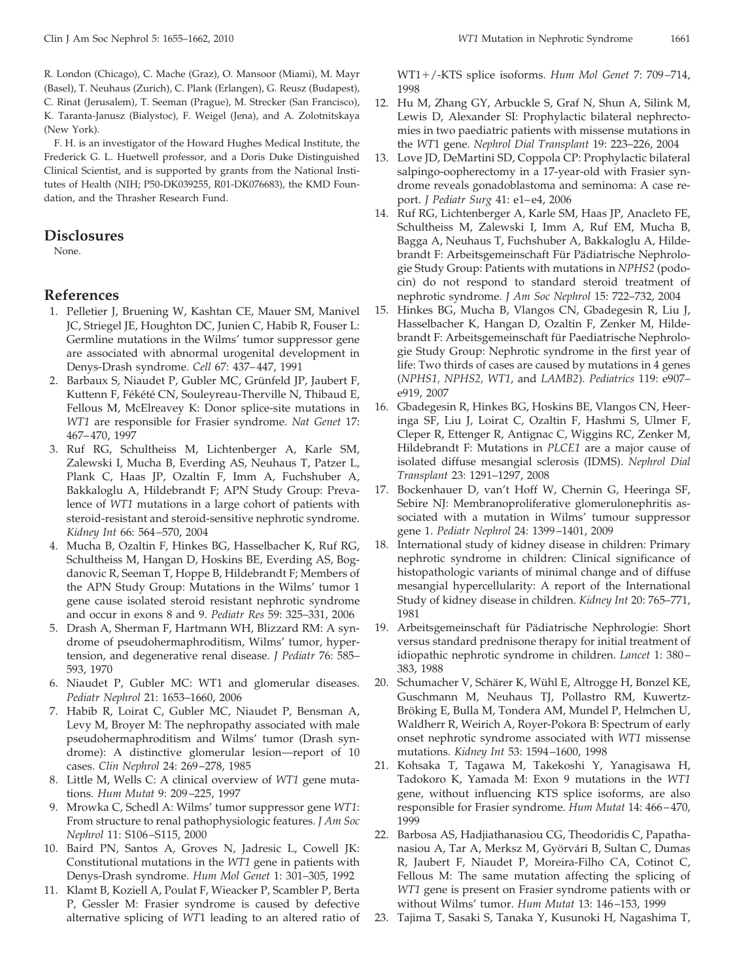R. London (Chicago), C. Mache (Graz), O. Mansoor (Miami), M. Mayr (Basel), T. Neuhaus (Zurich), C. Plank (Erlangen), G. Reusz (Budapest), C. Rinat (Jerusalem), T. Seeman (Prague), M. Strecker (San Francisco), K. Taranta-Janusz (Bialystoc), F. Weigel (Jena), and A. Zolotnitskaya (New York).

F. H. is an investigator of the Howard Hughes Medical Institute, the Frederick G. L. Huetwell professor, and a Doris Duke Distinguished Clinical Scientist, and is supported by grants from the National Institutes of Health (NIH; P50-DK039255, R01-DK076683), the KMD Foundation, and the Thrasher Research Fund.

# **Disclosures**

None.

# **References**

- 1. Pelletier J, Bruening W, Kashtan CE, Mauer SM, Manivel JC, Striegel JE, Houghton DC, Junien C, Habib R, Fouser L: Germline mutations in the Wilms' tumor suppressor gene are associated with abnormal urogenital development in Denys-Drash syndrome. *Cell* 67: 437– 447, 1991
- 2. Barbaux S, Niaudet P, Gubler MC, Grünfeld JP, Jaubert F, Kuttenn F, Fékété CN, Souleyreau-Therville N, Thibaud E, Fellous M, McElreavey K: Donor splice-site mutations in *WT1* are responsible for Frasier syndrome. *Nat Genet* 17: 467– 470, 1997
- 3. Ruf RG, Schultheiss M, Lichtenberger A, Karle SM, Zalewski I, Mucha B, Everding AS, Neuhaus T, Patzer L, Plank C, Haas JP, Ozaltin F, Imm A, Fuchshuber A, Bakkaloglu A, Hildebrandt F; APN Study Group: Prevalence of *WT1* mutations in a large cohort of patients with steroid-resistant and steroid-sensitive nephrotic syndrome. *Kidney Int* 66: 564 –570, 2004
- 4. Mucha B, Ozaltin F, Hinkes BG, Hasselbacher K, Ruf RG, Schultheiss M, Hangan D, Hoskins BE, Everding AS, Bogdanovic R, Seeman T, Hoppe B, Hildebrandt F; Members of the APN Study Group: Mutations in the Wilms' tumor 1 gene cause isolated steroid resistant nephrotic syndrome and occur in exons 8 and 9. *Pediatr Res* 59: 325–331, 2006
- 5. Drash A, Sherman F, Hartmann WH, Blizzard RM: A syndrome of pseudohermaphroditism, Wilms' tumor, hypertension, and degenerative renal disease. *J Pediatr* 76: 585– 593, 1970
- 6. Niaudet P, Gubler MC: WT1 and glomerular diseases. *Pediatr Nephrol* 21: 1653–1660, 2006
- 7. Habib R, Loirat C, Gubler MC, Niaudet P, Bensman A, Levy M, Broyer M: The nephropathy associated with male pseudohermaphroditism and Wilms' tumor (Drash syndrome): A distinctive glomerular lesion—report of 10 cases. *Clin Nephrol* 24: 269 –278, 1985
- 8. Little M, Wells C: A clinical overview of *WT1* gene mutations. *Hum Mutat* 9: 209 –225, 1997
- 9. Mrowka C, Schedl A: Wilms' tumor suppressor gene *WT1*: From structure to renal pathophysiologic features. *J Am Soc Nephrol* 11: S106 –S115, 2000
- 10. Baird PN, Santos A, Groves N, Jadresic L, Cowell JK: Constitutional mutations in the *WT1* gene in patients with Denys-Drash syndrome. *Hum Mol Genet* 1: 301–305, 1992
- 11. Klamt B, Koziell A, Poulat F, Wieacker P, Scambler P, Berta P, Gessler M: Frasier syndrome is caused by defective alternative splicing of *WT*1 leading to an altered ratio of

WT1/-KTS splice isoforms. *Hum Mol Genet* 7: 709 –714, 1998

- 12. Hu M, Zhang GY, Arbuckle S, Graf N, Shun A, Silink M, Lewis D, Alexander SI: Prophylactic bilateral nephrectomies in two paediatric patients with missense mutations in the *WT*1 gene. *Nephrol Dial Transplant* 19: 223–226, 2004
- 13. Love JD, DeMartini SD, Coppola CP: Prophylactic bilateral salpingo-oopherectomy in a 17-year-old with Frasier syndrome reveals gonadoblastoma and seminoma: A case report. *J Pediatr Surg* 41: e1-e4, 2006
- 14. Ruf RG, Lichtenberger A, Karle SM, Haas JP, Anacleto FE, Schultheiss M, Zalewski I, Imm A, Ruf EM, Mucha B, Bagga A, Neuhaus T, Fuchshuber A, Bakkaloglu A, Hildebrandt F: Arbeitsgemeinschaft Für Pädiatrische Nephrologie Study Group: Patients with mutations in *NPHS2* (podocin) do not respond to standard steroid treatment of nephrotic syndrome. *J Am Soc Nephrol* 15: 722–732, 2004
- 15. Hinkes BG, Mucha B, Vlangos CN, Gbadegesin R, Liu J, Hasselbacher K, Hangan D, Ozaltin F, Zenker M, Hildebrandt F: Arbeitsgemeinschaft für Paediatrische Nephrologie Study Group: Nephrotic syndrome in the first year of life: Two thirds of cases are caused by mutations in 4 genes (*NPHS1, NPHS2, WT1*, and *LAMB2*). *Pediatrics* 119: e907– e919, 2007
- 16. Gbadegesin R, Hinkes BG, Hoskins BE, Vlangos CN, Heeringa SF, Liu J, Loirat C, Ozaltin F, Hashmi S, Ulmer F, Cleper R, Ettenger R, Antignac C, Wiggins RC, Zenker M, Hildebrandt F: Mutations in *PLCE1* are a major cause of isolated diffuse mesangial sclerosis (IDMS). *Nephrol Dial Transplant* 23: 1291–1297, 2008
- 17. Bockenhauer D, van't Hoff W, Chernin G, Heeringa SF, Sebire NJ: Membranoproliferative glomerulonephritis associated with a mutation in Wilms' tumour suppressor gene 1. *Pediatr Nephrol* 24: 1399 –1401, 2009
- 18. International study of kidney disease in children: Primary nephrotic syndrome in children: Clinical significance of histopathologic variants of minimal change and of diffuse mesangial hypercellularity: A report of the International Study of kidney disease in children. *Kidney Int* 20: 765–771, 1981
- 19. Arbeitsgemeinschaft für Pädiatrische Nephrologie: Short versus standard prednisone therapy for initial treatment of idiopathic nephrotic syndrome in children. *Lancet* 1: 380 – 383, 1988
- 20. Schumacher V, Schärer K, Wühl E, Altrogge H, Bonzel KE, Guschmann M, Neuhaus TJ, Pollastro RM, Kuwertz-Bröking E, Bulla M, Tondera AM, Mundel P, Helmchen U, Waldherr R, Weirich A, Royer-Pokora B: Spectrum of early onset nephrotic syndrome associated with *WT1* missense mutations. *Kidney Int* 53: 1594 –1600, 1998
- 21. Kohsaka T, Tagawa M, Takekoshi Y, Yanagisawa H, Tadokoro K, Yamada M: Exon 9 mutations in the *WT1* gene, without influencing KTS splice isoforms, are also responsible for Frasier syndrome. *Hum Mutat* 14: 466 – 470, 1999
- 22. Barbosa AS, Hadjiathanasiou CG, Theodoridis C, Papathanasiou A, Tar A, Merksz M, Györvári B, Sultan C, Dumas R, Jaubert F, Niaudet P, Moreira-Filho CA, Cotinot C, Fellous M: The same mutation affecting the splicing of *WT1* gene is present on Frasier syndrome patients with or without Wilms' tumor. *Hum Mutat* 13: 146 –153, 1999
- 23. Tajima T, Sasaki S, Tanaka Y, Kusunoki H, Nagashima T,